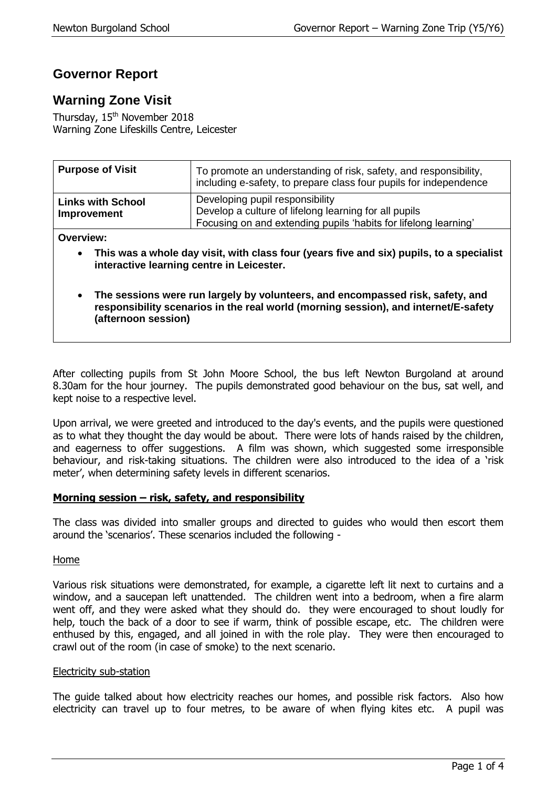# **Governor Report**

# **Warning Zone Visit**

Thursday, 15<sup>th</sup> November 2018 Warning Zone Lifeskills Centre, Leicester

| <b>Purpose of Visit</b>                 | To promote an understanding of risk, safety, and responsibility,<br>including e-safety, to prepare class four pupils for independence                       |
|-----------------------------------------|-------------------------------------------------------------------------------------------------------------------------------------------------------------|
| <b>Links with School</b><br>Improvement | Developing pupil responsibility<br>Develop a culture of lifelong learning for all pupils<br>Focusing on and extending pupils 'habits for lifelong learning' |

**Overview:**

- **This was a whole day visit, with class four (years five and six) pupils, to a specialist interactive learning centre in Leicester.**
- **The sessions were run largely by volunteers, and encompassed risk, safety, and responsibility scenarios in the real world (morning session), and internet/E-safety (afternoon session)**

After collecting pupils from St John Moore School, the bus left Newton Burgoland at around 8.30am for the hour journey. The pupils demonstrated good behaviour on the bus, sat well, and kept noise to a respective level.

Upon arrival, we were greeted and introduced to the day's events, and the pupils were questioned as to what they thought the day would be about. There were lots of hands raised by the children, and eagerness to offer suggestions. A film was shown, which suggested some irresponsible behaviour, and risk-taking situations. The children were also introduced to the idea of a 'risk meter', when determining safety levels in different scenarios.

# **Morning session – risk, safety, and responsibility**

The class was divided into smaller groups and directed to guides who would then escort them around the 'scenarios'. These scenarios included the following -

# Home

Various risk situations were demonstrated, for example, a cigarette left lit next to curtains and a window, and a saucepan left unattended. The children went into a bedroom, when a fire alarm went off, and they were asked what they should do. they were encouraged to shout loudly for help, touch the back of a door to see if warm, think of possible escape, etc. The children were enthused by this, engaged, and all joined in with the role play. They were then encouraged to crawl out of the room (in case of smoke) to the next scenario.

# Electricity sub-station

The guide talked about how electricity reaches our homes, and possible risk factors. Also how electricity can travel up to four metres, to be aware of when flying kites etc. A pupil was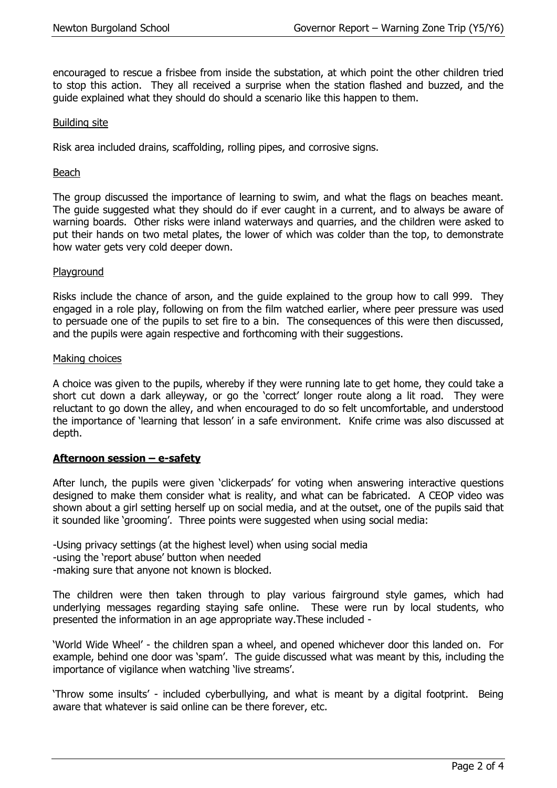encouraged to rescue a frisbee from inside the substation, at which point the other children tried to stop this action. They all received a surprise when the station flashed and buzzed, and the guide explained what they should do should a scenario like this happen to them.

### Building site

Risk area included drains, scaffolding, rolling pipes, and corrosive signs.

#### Beach

The group discussed the importance of learning to swim, and what the flags on beaches meant. The guide suggested what they should do if ever caught in a current, and to always be aware of warning boards. Other risks were inland waterways and quarries, and the children were asked to put their hands on two metal plates, the lower of which was colder than the top, to demonstrate how water gets very cold deeper down.

#### Playground

Risks include the chance of arson, and the guide explained to the group how to call 999. They engaged in a role play, following on from the film watched earlier, where peer pressure was used to persuade one of the pupils to set fire to a bin. The consequences of this were then discussed, and the pupils were again respective and forthcoming with their suggestions.

#### Making choices

A choice was given to the pupils, whereby if they were running late to get home, they could take a short cut down a dark alleyway, or go the 'correct' longer route along a lit road. They were reluctant to go down the alley, and when encouraged to do so felt uncomfortable, and understood the importance of 'learning that lesson' in a safe environment. Knife crime was also discussed at depth.

# **Afternoon session – e-safety**

After lunch, the pupils were given 'clickerpads' for voting when answering interactive questions designed to make them consider what is reality, and what can be fabricated. A CEOP video was shown about a girl setting herself up on social media, and at the outset, one of the pupils said that it sounded like 'grooming'. Three points were suggested when using social media:

-Using privacy settings (at the highest level) when using social media

-using the 'report abuse' button when needed

-making sure that anyone not known is blocked.

The children were then taken through to play various fairground style games, which had underlying messages regarding staying safe online. These were run by local students, who presented the information in an age appropriate way.These included -

'World Wide Wheel' - the children span a wheel, and opened whichever door this landed on. For example, behind one door was 'spam'. The guide discussed what was meant by this, including the importance of vigilance when watching 'live streams'.

'Throw some insults' - included cyberbullying, and what is meant by a digital footprint. Being aware that whatever is said online can be there forever, etc.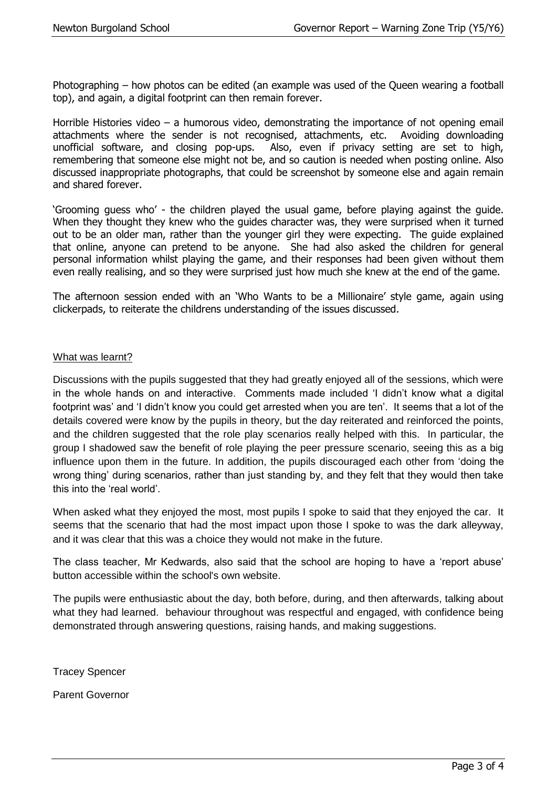Photographing – how photos can be edited (an example was used of the Queen wearing a football top), and again, a digital footprint can then remain forever.

Horrible Histories video – a humorous video, demonstrating the importance of not opening email attachments where the sender is not recognised, attachments, etc. Avoiding downloading unofficial software, and closing pop-ups. Also, even if privacy setting are set to high, remembering that someone else might not be, and so caution is needed when posting online. Also discussed inappropriate photographs, that could be screenshot by someone else and again remain and shared forever.

'Grooming guess who' - the children played the usual game, before playing against the guide. When they thought they knew who the guides character was, they were surprised when it turned out to be an older man, rather than the younger girl they were expecting. The guide explained that online, anyone can pretend to be anyone. She had also asked the children for general personal information whilst playing the game, and their responses had been given without them even really realising, and so they were surprised just how much she knew at the end of the game.

The afternoon session ended with an 'Who Wants to be a Millionaire' style game, again using clickerpads, to reiterate the childrens understanding of the issues discussed.

# What was learnt?

Discussions with the pupils suggested that they had greatly enjoyed all of the sessions, which were in the whole hands on and interactive. Comments made included 'I didn't know what a digital footprint was' and 'I didn't know you could get arrested when you are ten'. It seems that a lot of the details covered were know by the pupils in theory, but the day reiterated and reinforced the points, and the children suggested that the role play scenarios really helped with this. In particular, the group I shadowed saw the benefit of role playing the peer pressure scenario, seeing this as a big influence upon them in the future. In addition, the pupils discouraged each other from 'doing the wrong thing' during scenarios, rather than just standing by, and they felt that they would then take this into the 'real world'.

When asked what they enjoyed the most, most pupils I spoke to said that they enjoyed the car. It seems that the scenario that had the most impact upon those I spoke to was the dark alleyway, and it was clear that this was a choice they would not make in the future.

The class teacher, Mr Kedwards, also said that the school are hoping to have a 'report abuse' button accessible within the school's own website.

The pupils were enthusiastic about the day, both before, during, and then afterwards, talking about what they had learned. behaviour throughout was respectful and engaged, with confidence being demonstrated through answering questions, raising hands, and making suggestions.

Tracey Spencer

Parent Governor